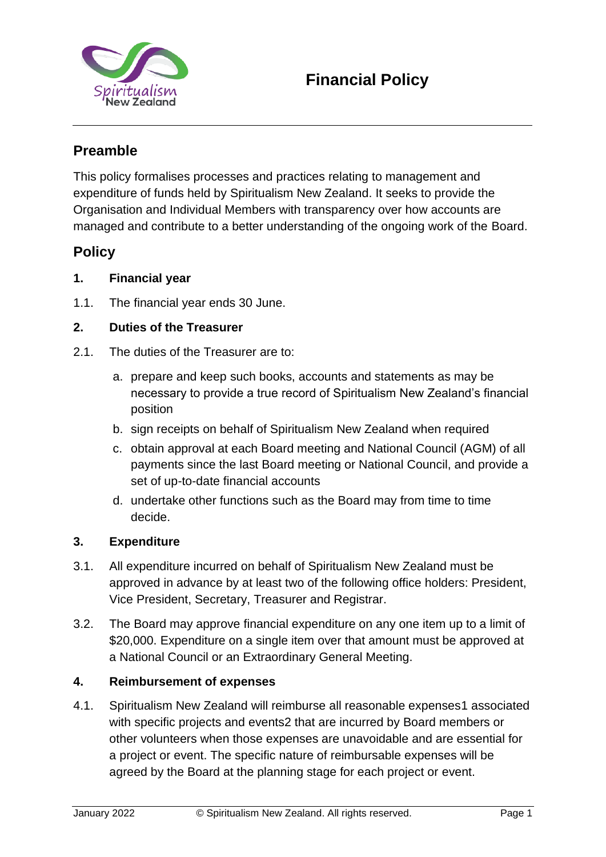

## **Preamble**

This policy formalises processes and practices relating to management and expenditure of funds held by Spiritualism New Zealand. It seeks to provide the Organisation and Individual Members with transparency over how accounts are managed and contribute to a better understanding of the ongoing work of the Board.

### **Policy**

#### **1. Financial year**

1.1. The financial year ends 30 June.

#### **2. Duties of the Treasurer**

- 2.1. The duties of the Treasurer are to:
	- a. prepare and keep such books, accounts and statements as may be necessary to provide a true record of Spiritualism New Zealand's financial position
	- b. sign receipts on behalf of Spiritualism New Zealand when required
	- c. obtain approval at each Board meeting and National Council (AGM) of all payments since the last Board meeting or National Council, and provide a set of up-to-date financial accounts
	- d. undertake other functions such as the Board may from time to time decide.

#### **3. Expenditure**

- 3.1. All expenditure incurred on behalf of Spiritualism New Zealand must be approved in advance by at least two of the following office holders: President, Vice President, Secretary, Treasurer and Registrar.
- 3.2. The Board may approve financial expenditure on any one item up to a limit of \$20,000. Expenditure on a single item over that amount must be approved at a National Council or an Extraordinary General Meeting.

#### **4. Reimbursement of expenses**

4.1. Spiritualism New Zealand will reimburse all reasonable expenses1 associated with specific projects and events2 that are incurred by Board members or other volunteers when those expenses are unavoidable and are essential for a project or event. The specific nature of reimbursable expenses will be agreed by the Board at the planning stage for each project or event.